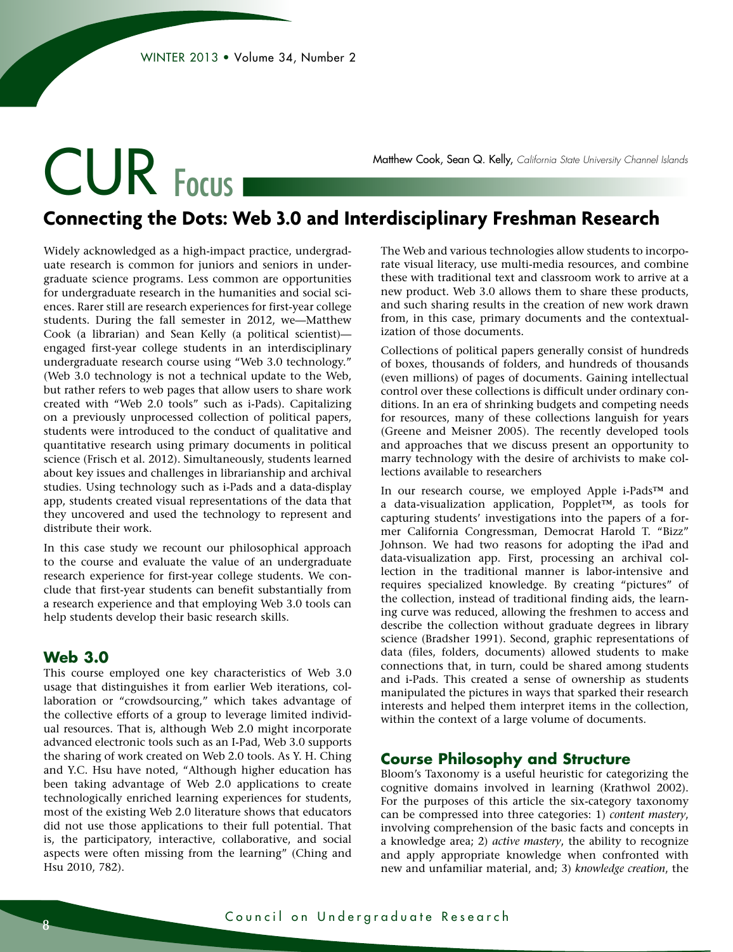# CUR Focus

Matthew Cook, Sean Q. Kelly, *California State University Channel Islands*

### **Connecting the Dots: Web 3.0 and Interdisciplinary Freshman Research**

Widely acknowledged as a high-impact practice, undergraduate research is common for juniors and seniors in undergraduate science programs. Less common are opportunities for undergraduate research in the humanities and social sciences. Rarer still are research experiences for first-year college students. During the fall semester in 2012, we—Matthew Cook (a librarian) and Sean Kelly (a political scientist) engaged first-year college students in an interdisciplinary undergraduate research course using "Web 3.0 technology." (Web 3.0 technology is not a technical update to the Web, but rather refers to web pages that allow users to share work created with "Web 2.0 tools" such as i-Pads). Capitalizing on a previously unprocessed collection of political papers, students were introduced to the conduct of qualitative and quantitative research using primary documents in political science (Frisch et al. 2012). Simultaneously, students learned about key issues and challenges in librarianship and archival studies. Using technology such as i-Pads and a data-display app, students created visual representations of the data that they uncovered and used the technology to represent and distribute their work.

In this case study we recount our philosophical approach to the course and evaluate the value of an undergraduate research experience for first-year college students. We conclude that first-year students can benefit substantially from a research experience and that employing Web 3.0 tools can help students develop their basic research skills.

#### **Web 3.0**

This course employed one key characteristics of Web 3.0 usage that distinguishes it from earlier Web iterations, collaboration or "crowdsourcing," which takes advantage of the collective efforts of a group to leverage limited individual resources. That is, although Web 2.0 might incorporate advanced electronic tools such as an I-Pad, Web 3.0 supports the sharing of work created on Web 2.0 tools. As Y. H. Ching and Y.C. Hsu have noted, "Although higher education has been taking advantage of Web 2.0 applications to create technologically enriched learning experiences for students, most of the existing Web 2.0 literature shows that educators did not use those applications to their full potential. That is, the participatory, interactive, collaborative, and social aspects were often missing from the learning" (Ching and Hsu 2010, 782).

The Web and various technologies allow students to incorporate visual literacy, use multi-media resources, and combine these with traditional text and classroom work to arrive at a new product. Web 3.0 allows them to share these products, and such sharing results in the creation of new work drawn from, in this case, primary documents and the contextualization of those documents.

Collections of political papers generally consist of hundreds of boxes, thousands of folders, and hundreds of thousands (even millions) of pages of documents. Gaining intellectual control over these collections is difficult under ordinary conditions. In an era of shrinking budgets and competing needs for resources, many of these collections languish for years (Greene and Meisner 2005). The recently developed tools and approaches that we discuss present an opportunity to marry technology with the desire of archivists to make collections available to researchers

In our research course, we employed Apple i-Pads™ and a data-visualization application, Popplet™, as tools for capturing students' investigations into the papers of a former California Congressman, Democrat Harold T. "Bizz" Johnson. We had two reasons for adopting the iPad and data-visualization app. First, processing an archival collection in the traditional manner is labor-intensive and requires specialized knowledge. By creating "pictures" of the collection, instead of traditional finding aids, the learning curve was reduced, allowing the freshmen to access and describe the collection without graduate degrees in library science (Bradsher 1991). Second, graphic representations of data (files, folders, documents) allowed students to make connections that, in turn, could be shared among students and i-Pads. This created a sense of ownership as students manipulated the pictures in ways that sparked their research interests and helped them interpret items in the collection, within the context of a large volume of documents.

#### **Course Philosophy and Structure**

Bloom's Taxonomy is a useful heuristic for categorizing the cognitive domains involved in learning (Krathwol 2002). For the purposes of this article the six-category taxonomy can be compressed into three categories: 1) *content mastery*, involving comprehension of the basic facts and concepts in a knowledge area; 2) *active mastery*, the ability to recognize and apply appropriate knowledge when confronted with new and unfamiliar material, and; 3) *knowledge creation*, the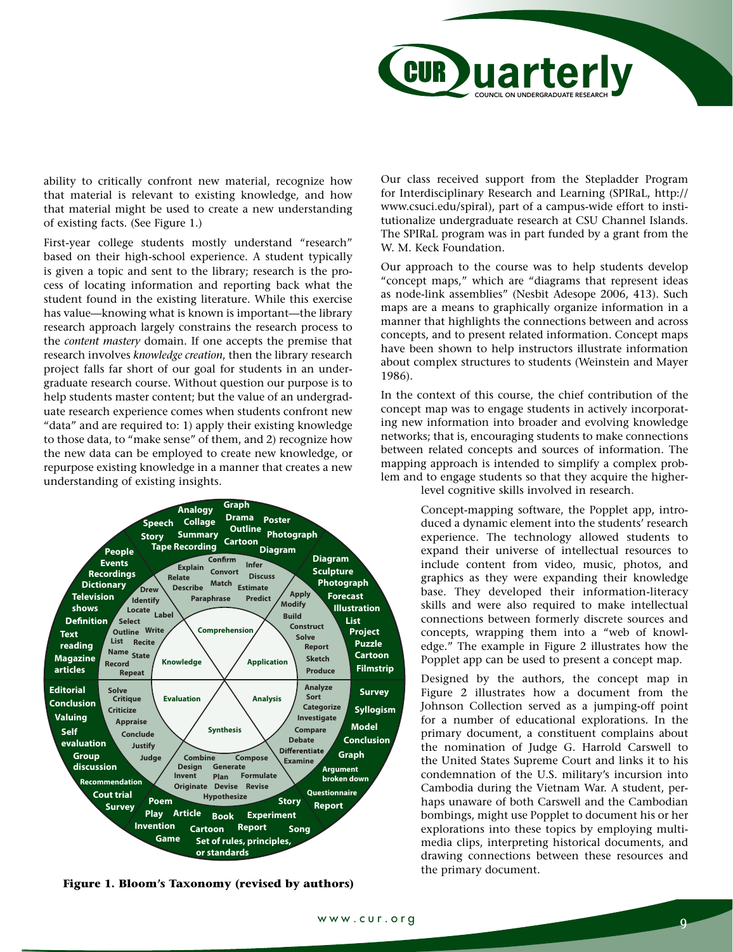

ability to critically confront new material, recognize how that material is relevant to existing knowledge, and how that material might be used to create a new understanding of existing facts. (See Figure 1.)

First-year college students mostly understand "research" based on their high-school experience. A student typically is given a topic and sent to the library; research is the process of locating information and reporting back what the student found in the existing literature. While this exercise has value—knowing what is known is important—the library research approach largely constrains the research process to the *content mastery* domain. If one accepts the premise that research involves *knowledge creation*, then the library research project falls far short of our goal for students in an undergraduate research course. Without question our purpose is to help students master content; but the value of an undergraduate research experience comes when students confront new "data" and are required to: 1) apply their existing knowledge to those data, to "make sense" of them, and 2) recognize how the new data can be employed to create new knowledge, or repurpose existing knowledge in a manner that creates a new understanding of existing insights.



**Figure 1. Bloom's Taxonomy (revised by authors)** 

Our class received support from the Stepladder Program for Interdisciplinary Research and Learning (SPIRaL, http:// www.csuci.edu/spiral), part of a campus-wide effort to institutionalize undergraduate research at CSU Channel Islands. The SPIRaL program was in part funded by a grant from the W. M. Keck Foundation.

Our approach to the course was to help students develop "concept maps," which are "diagrams that represent ideas as node-link assemblies" (Nesbit Adesope 2006, 413). Such maps are a means to graphically organize information in a manner that highlights the connections between and across concepts, and to present related information. Concept maps have been shown to help instructors illustrate information about complex structures to students (Weinstein and Mayer 1986).

In the context of this course, the chief contribution of the concept map was to engage students in actively incorporating new information into broader and evolving knowledge networks; that is, encouraging students to make connections between related concepts and sources of information. The mapping approach is intended to simplify a complex problem and to engage students so that they acquire the higher-

level cognitive skills involved in research.

Concept-mapping software, the Popplet app, introduced a dynamic element into the students' research experience. The technology allowed students to expand their universe of intellectual resources to include content from video, music, photos, and graphics as they were expanding their knowledge base. They developed their information-literacy skills and were also required to make intellectual connections between formerly discrete sources and concepts, wrapping them into a "web of knowledge." The example in Figure 2 illustrates how the Popplet app can be used to present a concept map.

Designed by the authors, the concept map in Figure 2 illustrates how a document from the Johnson Collection served as a jumping-off point for a number of educational explorations. In the primary document, a constituent complains about the nomination of Judge G. Harrold Carswell to the United States Supreme Court and links it to his condemnation of the U.S. military's incursion into Cambodia during the Vietnam War. A student, perhaps unaware of both Carswell and the Cambodian bombings, might use Popplet to document his or her explorations into these topics by employing multimedia clips, interpreting historical documents, and drawing connections between these resources and the primary document.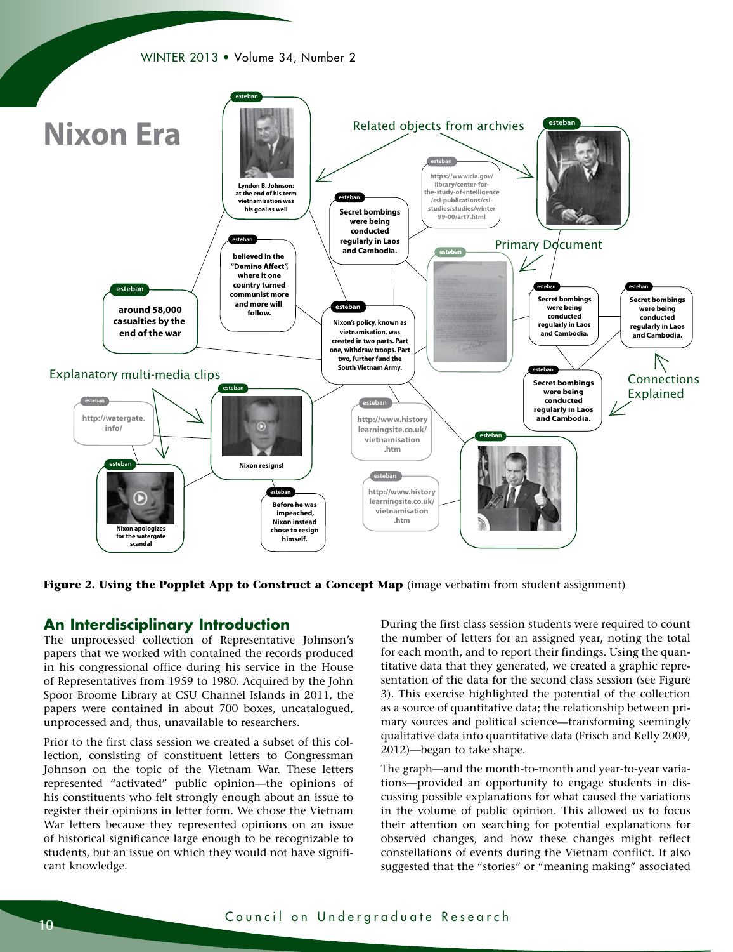



**Figure 2. Using the Popplet App to Construct a Concept Map** (image verbatim from student assignment)

#### **An Interdisciplinary Introduction**

The unprocessed collection of Representative Johnson's papers that we worked with contained the records produced in his congressional office during his service in the House of Representatives from 1959 to 1980. Acquired by the John Spoor Broome Library at CSU Channel Islands in 2011, the papers were contained in about 700 boxes, uncatalogued, unprocessed and, thus, unavailable to researchers.

Prior to the first class session we created a subset of this collection, consisting of constituent letters to Congressman Johnson on the topic of the Vietnam War. These letters represented "activated" public opinion—the opinions of his constituents who felt strongly enough about an issue to register their opinions in letter form. We chose the Vietnam War letters because they represented opinions on an issue of historical significance large enough to be recognizable to students, but an issue on which they would not have significant knowledge.

During the first class session students were required to count the number of letters for an assigned year, noting the total for each month, and to report their findings. Using the quantitative data that they generated, we created a graphic representation of the data for the second class session (see Figure 3). This exercise highlighted the potential of the collection as a source of quantitative data; the relationship between primary sources and political science—transforming seemingly qualitative data into quantitative data (Frisch and Kelly 2009, 2012)—began to take shape.

The graph—and the month-to-month and year-to-year variations—provided an opportunity to engage students in discussing possible explanations for what caused the variations in the volume of public opinion. This allowed us to focus their attention on searching for potential explanations for observed changes, and how these changes might reflect constellations of events during the Vietnam conflict. It also suggested that the "stories" or "meaning making" associated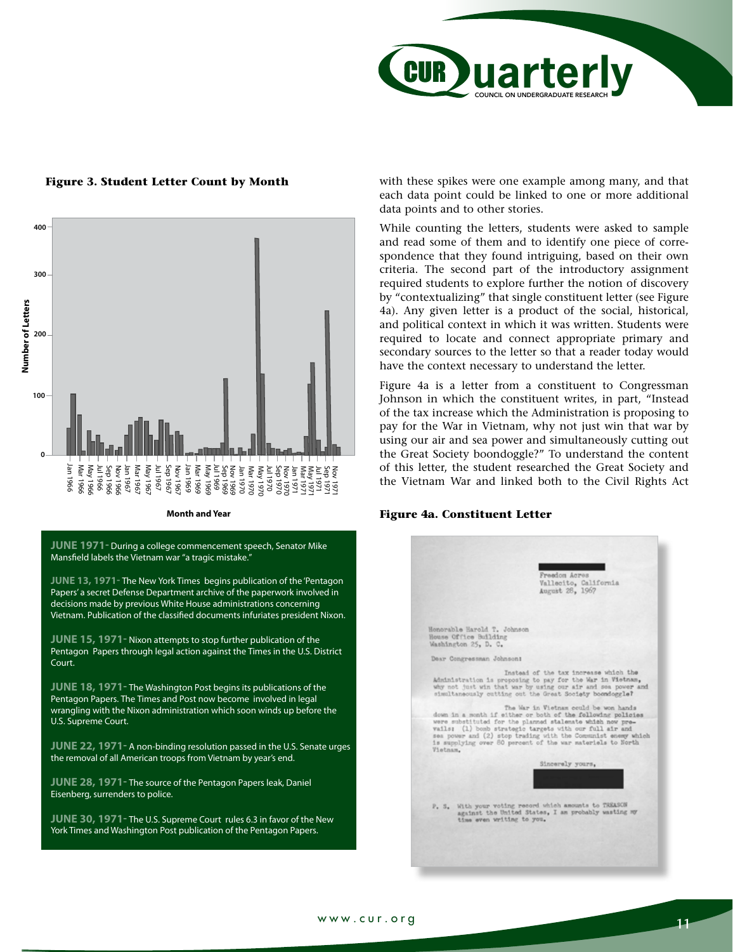

## Figure 3. Student Letter Count by Month



**JUNE 1971-** During a college commencement speech, Senator Mike Mansfield labels the Vietnam war "a tragic mistake."

**JUNE 13, 1971-** The New York Times begins publication of the 'Pentagon Papers' a secret Defense Department archive of the paperwork involved in decisions made by previous White House administrations concerning Vietnam. Publication of the classified documents infuriates president Nixon.

**JUNE 15, 1971-** Nixon attempts to stop further publication of the Pentagon Papers through legal action against the Times in the U.S. District Court.

**JUNE 18, 1971-** The Washington Post begins its publications of the Pentagon Papers. The Times and Post now become involved in legal wrangling with the Nixon administration which soon winds up before the U.S. Supreme Court.

**JUNE 22, 1971-** A non-binding resolution passed in the U.S. Senate urges the removal of all American troops from Vietnam by year's end.

**JUNE 28, 1971-** The source of the Pentagon Papers leak, Daniel Eisenberg, surrenders to police.

**JUNE 30, 1971-** The U.S. Supreme Court rules 6.3 in favor of the New York Times and Washington Post publication of the Pentagon Papers.

with these spikes were one example among many, and that each data point could be linked to one or more additional data points and to other stories.

While counting the letters, students were asked to sample and read some of them and to identify one piece of correspondence that they found intriguing, based on their own criteria. The second part of the introductory assignment required students to explore further the notion of discovery by "contextualizing" that single constituent letter (see Figure 4a). Any given letter is a product of the social, historical, and political context in which it was written. Students were required to locate and connect appropriate primary and secondary sources to the letter so that a reader today would have the context necessary to understand the letter.

Figure 4a is a letter from a constituent to Congressman Johnson in which the constituent writes, in part, "Instead of the tax increase which the Administration is proposing to pay for the War in Vietnam, why not just win that war by using our air and sea power and simultaneously cutting out the Great Society boondoggle?" To understand the content of this letter, the student researched the Great Society and the Vietnam War and linked both to the Civil Rights Act

#### **Figure 4a. Constituent Letter**

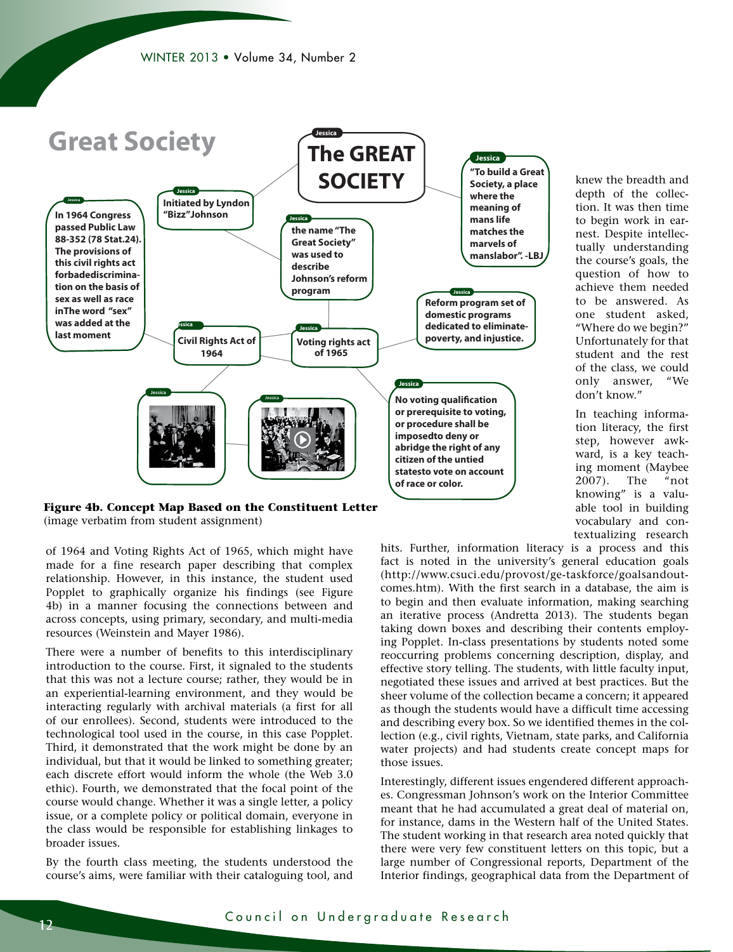

(image verbatim from student assignment)

of 1964 and Voting Rights Act of 1965, which might have made for a fine research paper describing that complex relationship. However, in this instance, the student used Popplet to graphically organize his findings (see Figure 4b) in a manner focusing the connections between and across concepts, using primary, secondary, and multi-media resources (Weinstein and Mayer 1986).

There were a number of benefits to this interdisciplinary introduction to the course. First, it signaled to the students that this was not a lecture course; rather, they would be in an experiential-learning environment, and they would be interacting regularly with archival materials (a first for all of our enrollees). Second, students were introduced to the technological tool used in the course, in this case Popplet. Third, it demonstrated that the work might be done by an individual, but that it would be linked to something greater; each discrete effort would inform the whole (the Web 3.0 ethic). Fourth, we demonstrated that the focal point of the course would change. Whether it was a single letter, a policy issue, or a complete policy or political domain, everyone in the class would be responsible for establishing linkages to broader issues.

By the fourth class meeting, the students understood the course's aims, were familiar with their cataloguing tool, and

textualizing research hits. Further, information literacy is a process and this fact is noted in the university's general education goals (http://www.csuci.edu/provost/ge-taskforce/goalsandoutcomes.htm). With the first search in a database, the aim is to begin and then evaluate information, making searching an iterative process (Andretta 2013). The students began taking down boxes and describing their contents employing Popplet. In-class presentations by students noted some reoccurring problems concerning description, display, and effective story telling. The students, with little faculty input, negotiated these issues and arrived at best practices. But the sheer volume of the collection became a concern; it appeared as though the students would have a difficult time accessing and describing every box. So we identified themes in the collection (e.g., civil rights, Vietnam, state parks, and California water projects) and had students create concept maps for those issues.

knew the breadth and depth of the collection. It was then time to begin work in earnest. Despite intellectually understanding the course's goals, the question of how to achieve them needed to be answered. As one student asked, "Where do we begin?" Unfortunately for that student and the rest of the class, we could only answer, "We

don't know."

In teaching information literacy, the first step, however awkward, is a key teaching moment (Maybee 2007). The "not knowing" is a valuable tool in building vocabulary and con-

Interestingly, different issues engendered different approaches. Congressman Johnson's work on the Interior Committee meant that he had accumulated a great deal of material on, for instance, dams in the Western half of the United States. The student working in that research area noted quickly that there were very few constituent letters on this topic, but a large number of Congressional reports, Department of the Interior findings, geographical data from the Department of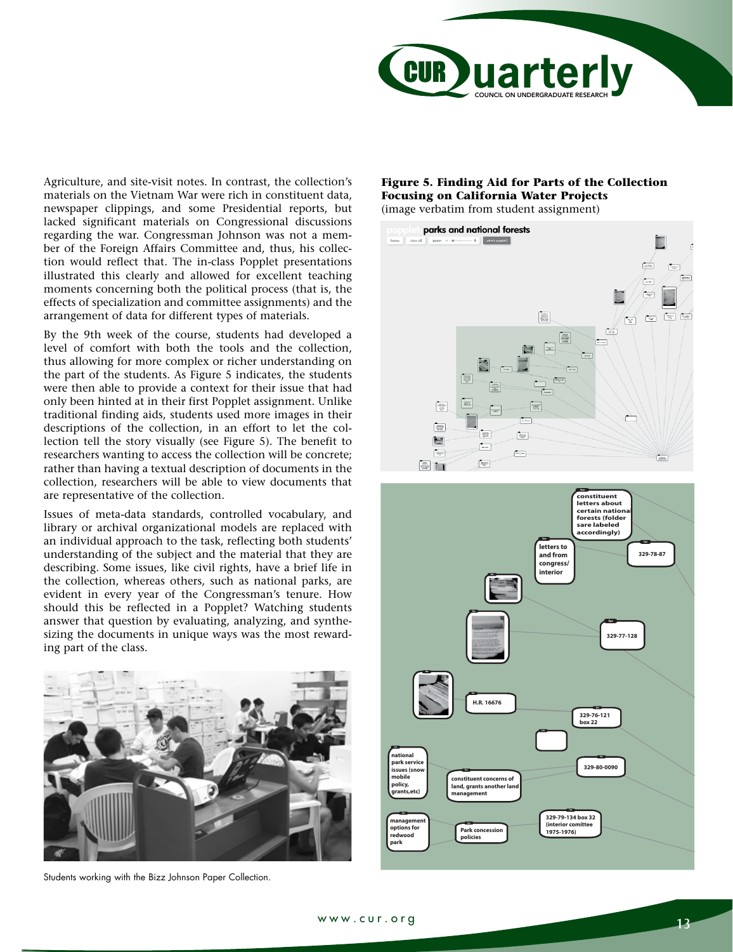

Agriculture, and site-visit notes. In contrast, the collection's materials on the Vietnam War were rich in constituent data, newspaper clippings, and some Presidential reports, but lacked significant materials on Congressional discussions regarding the war. Congressman Johnson was not a member of the Foreign Affairs Committee and, thus, his collection would reflect that. The in-class Popplet presentations illustrated this clearly and allowed for excellent teaching moments concerning both the political process (that is, the effects of specialization and committee assignments) and the arrangement of data for different types of materials.

By the 9th week of the course, students had developed a level of comfort with both the tools and the collection, thus allowing for more complex or richer understanding on the part of the students. As Figure 5 indicates, the students were then able to provide a context for their issue that had only been hinted at in their first Popplet assignment. Unlike traditional finding aids, students used more images in their descriptions of the collection, in an effort to let the collection tell the story visually (see Figure 5). The benefit to researchers wanting to access the collection will be concrete; rather than having a textual description of documents in the collection, researchers will be able to view documents that are representative of the collection.

Issues of meta-data standards, controlled vocabulary, and library or archival organizational models are replaced with an individual approach to the task, reflecting both students' understanding of the subject and the material that they are describing. Some issues, like civil rights, have a brief life in the collection, whereas others, such as national parks, are evident in every year of the Congressman's tenure. How should this be reflected in a Popplet? Watching students answer that question by evaluating, analyzing, and synthesizing the documents in unique ways was the most rewarding part of the class.



Students working with the Bizz Johnson Paper Collection.

#### **Figure 5. Finding Aid for Parts of the Collection Focusing on California Water Projects**  (image verbatim from student assignment)



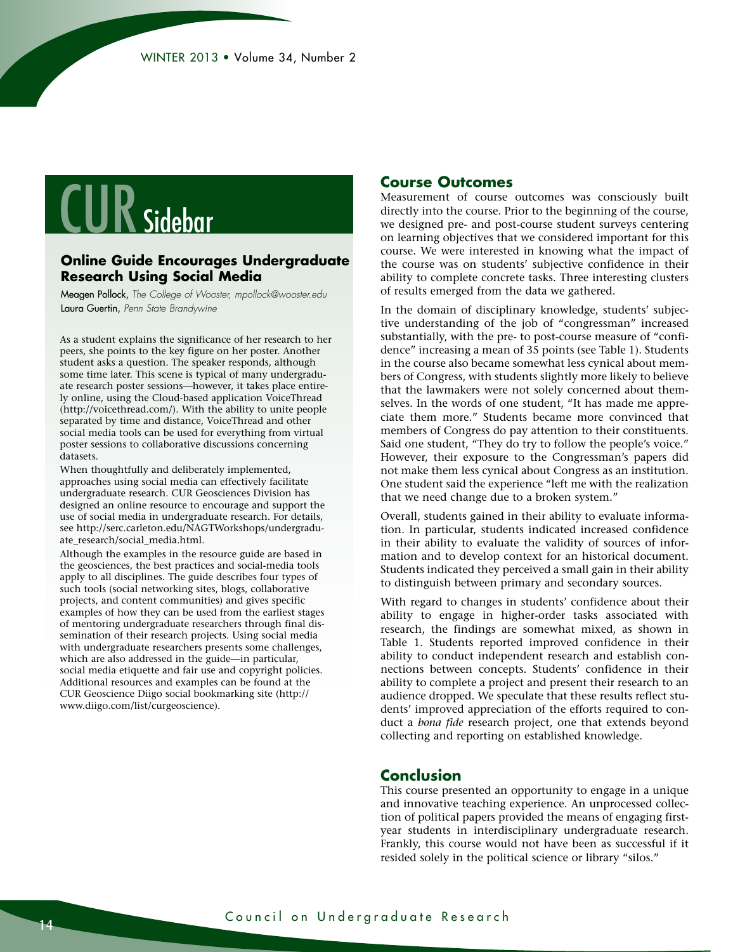## **CUR** Sidebar

#### **Online Guide Encourages Undergraduate Research Using Social Media**

Meagen Pollock, *The College of Wooster, mpollock@wooster.edu*  Laura Guertin, *Penn State Brandywine*

As a student explains the significance of her research to her peers, she points to the key figure on her poster. Another student asks a question. The speaker responds, although some time later. This scene is typical of many undergraduate research poster sessions—however, it takes place entirely online, using the Cloud-based application VoiceThread (http://voicethread.com/). With the ability to unite people separated by time and distance, VoiceThread and other social media tools can be used for everything from virtual poster sessions to collaborative discussions concerning datasets.

When thoughtfully and deliberately implemented, approaches using social media can effectively facilitate undergraduate research. CUR Geosciences Division has designed an online resource to encourage and support the use of social media in undergraduate research. For details, see http://serc.carleton.edu/NAGTWorkshops/undergraduate\_research/social\_media.html.

Although the examples in the resource guide are based in the geosciences, the best practices and social-media tools apply to all disciplines. The guide describes four types of such tools (social networking sites, blogs, collaborative projects, and content communities) and gives specific examples of how they can be used from the earliest stages of mentoring undergraduate researchers through final dissemination of their research projects. Using social media with undergraduate researchers presents some challenges, which are also addressed in the guide—in particular, social media etiquette and fair use and copyright policies. Additional resources and examples can be found at the CUR Geoscience Diigo social bookmarking site (http:// www.diigo.com/list/curgeoscience).

#### **Course Outcomes**

Measurement of course outcomes was consciously built directly into the course. Prior to the beginning of the course, we designed pre- and post-course student surveys centering on learning objectives that we considered important for this course. We were interested in knowing what the impact of the course was on students' subjective confidence in their ability to complete concrete tasks. Three interesting clusters of results emerged from the data we gathered.

In the domain of disciplinary knowledge, students' subjective understanding of the job of "congressman" increased substantially, with the pre- to post-course measure of "confidence" increasing a mean of 35 points (see Table 1). Students in the course also became somewhat less cynical about members of Congress, with students slightly more likely to believe that the lawmakers were not solely concerned about themselves. In the words of one student, "It has made me appreciate them more." Students became more convinced that members of Congress do pay attention to their constituents. Said one student, "They do try to follow the people's voice." However, their exposure to the Congressman's papers did not make them less cynical about Congress as an institution. One student said the experience "left me with the realization that we need change due to a broken system."

Overall, students gained in their ability to evaluate information. In particular, students indicated increased confidence in their ability to evaluate the validity of sources of information and to develop context for an historical document. Students indicated they perceived a small gain in their ability to distinguish between primary and secondary sources.

With regard to changes in students' confidence about their ability to engage in higher-order tasks associated with research, the findings are somewhat mixed, as shown in Table 1. Students reported improved confidence in their ability to conduct independent research and establish connections between concepts. Students' confidence in their ability to complete a project and present their research to an audience dropped. We speculate that these results reflect students' improved appreciation of the efforts required to conduct a *bona fide* research project, one that extends beyond collecting and reporting on established knowledge.

#### **Conclusion**

This course presented an opportunity to engage in a unique and innovative teaching experience. An unprocessed collection of political papers provided the means of engaging firstyear students in interdisciplinary undergraduate research. Frankly, this course would not have been as successful if it resided solely in the political science or library "silos."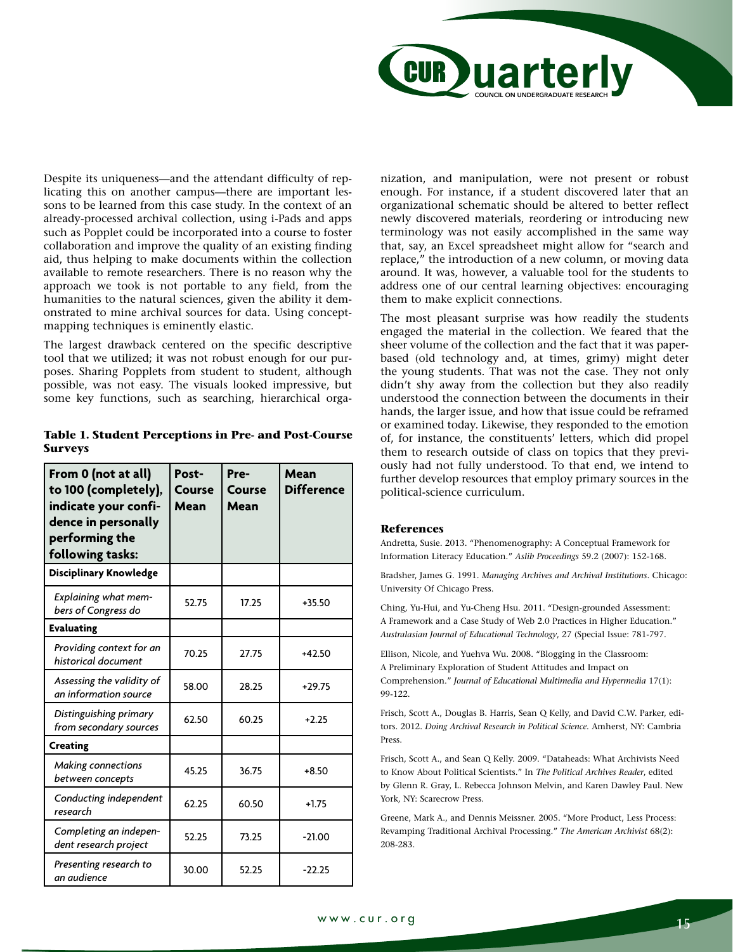

Despite its uniqueness—and the attendant difficulty of replicating this on another campus—there are important lessons to be learned from this case study. In the context of an already-processed archival collection, using i-Pads and apps such as Popplet could be incorporated into a course to foster collaboration and improve the quality of an existing finding aid, thus helping to make documents within the collection available to remote researchers. There is no reason why the approach we took is not portable to any field, from the humanities to the natural sciences, given the ability it demonstrated to mine archival sources for data. Using conceptmapping techniques is eminently elastic.

The largest drawback centered on the specific descriptive tool that we utilized; it was not robust enough for our purposes. Sharing Popplets from student to student, although possible, was not easy. The visuals looked impressive, but some key functions, such as searching, hierarchical orga-

| From 0 (not at all)<br>to 100 (completely),<br>indicate your confi-<br>dence in personally<br>performing the<br>following tasks: | Post-<br>Course<br>Mean | Pre-<br>Course<br>Mean | Mean<br><b>Difference</b> |
|----------------------------------------------------------------------------------------------------------------------------------|-------------------------|------------------------|---------------------------|
| Disciplinary Knowledge                                                                                                           |                         |                        |                           |
| <b>Explaining what mem-</b><br>bers of Congress do                                                                               | 52.75                   | 17.25                  | $+35.50$                  |
| <b>Evaluating</b>                                                                                                                |                         |                        |                           |
| Providing context for an<br>historical document                                                                                  | 70.25                   | 27.75                  | $+42.50$                  |
| Assessing the validity of<br>an information source                                                                               | 58.00                   | 28.25                  | $+29.75$                  |
| Distinguishing primary<br>from secondary sources                                                                                 | 62.50                   | 60.25                  | $+2.25$                   |
| <b>Creating</b>                                                                                                                  |                         |                        |                           |
| <b>Making connections</b><br>between concepts                                                                                    | 45.25                   | 36.75                  | $+8.50$                   |
| Conducting independent<br>research                                                                                               | 62.25                   | 60.50                  | $+1.75$                   |
| Completing an indepen-<br>dent research project                                                                                  | 52.25                   | 73.25                  | $-21.00$                  |
| Presenting research to<br>an audience                                                                                            | 30.00                   | 52.25                  | $-22.25$                  |

**Table 1. Student Perceptions in Pre- and Post-Course Surveys**

nization, and manipulation, were not present or robust enough. For instance, if a student discovered later that an organizational schematic should be altered to better reflect newly discovered materials, reordering or introducing new terminology was not easily accomplished in the same way that, say, an Excel spreadsheet might allow for "search and replace," the introduction of a new column, or moving data around. It was, however, a valuable tool for the students to address one of our central learning objectives: encouraging them to make explicit connections.

The most pleasant surprise was how readily the students engaged the material in the collection. We feared that the sheer volume of the collection and the fact that it was paperbased (old technology and, at times, grimy) might deter the young students. That was not the case. They not only didn't shy away from the collection but they also readily understood the connection between the documents in their hands, the larger issue, and how that issue could be reframed or examined today. Likewise, they responded to the emotion of, for instance, the constituents' letters, which did propel them to research outside of class on topics that they previously had not fully understood. To that end, we intend to further develop resources that employ primary sources in the political-science curriculum.

#### **References**

Andretta, Susie. 2013. "Phenomenography: A Conceptual Framework for Information Literacy Education." *Aslib Proceedings* 59.2 (2007): 152-168.

Bradsher, James G. 1991. *Managing Archives and Archival Institutions*. Chicago: University Of Chicago Press.

Ching, Yu-Hui, and Yu-Cheng Hsu. 2011. "Design-grounded Assessment: A Framework and a Case Study of Web 2.0 Practices in Higher Education." *Australasian Journal of Educational Technology*, 27 (Special Issue: 781-797.

Ellison, Nicole, and Yuehva Wu. 2008. "Blogging in the Classroom: A Preliminary Exploration of Student Attitudes and Impact on Comprehension." *Journal of Educational Multimedia and Hypermedia* 17(1): 99-122.

Frisch, Scott A., Douglas B. Harris, Sean Q Kelly, and David C.W. Parker, editors. 2012. *Doing Archival Research in Political Science*. Amherst, NY: Cambria Press.

Frisch, Scott A., and Sean Q Kelly. 2009. "Dataheads: What Archivists Need to Know About Political Scientists." In *The Political Archives Reader*, edited by Glenn R. Gray, L. Rebecca Johnson Melvin, and Karen Dawley Paul. New York, NY: Scarecrow Press.

Greene, Mark A., and Dennis Meissner. 2005. "More Product, Less Process: Revamping Traditional Archival Processing." *The American Archivist* 68(2): 208-283.